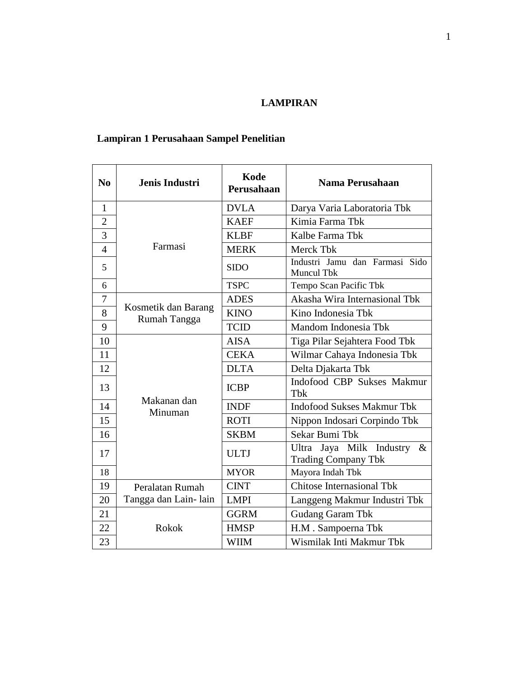#### **LAMPIRAN**

### **Lampiran 1 Perusahaan Sampel Penelitian**

| N <sub>0</sub> | Jenis Industri                      | Kode<br>Perusahaan | Nama Perusahaan                                                   |
|----------------|-------------------------------------|--------------------|-------------------------------------------------------------------|
| $\mathbf{1}$   |                                     | <b>DVLA</b>        | Darya Varia Laboratoria Tbk                                       |
| $\overline{2}$ |                                     | <b>KAEF</b>        | Kimia Farma Tbk                                                   |
| $\overline{3}$ |                                     | <b>KLBF</b>        | Kalbe Farma Tbk                                                   |
| $\overline{4}$ | Farmasi                             | <b>MERK</b>        | Merck Tbk                                                         |
| 5              |                                     | <b>SIDO</b>        | Industri Jamu dan Farmasi Sido<br>Muncul Tbk                      |
| 6              |                                     | <b>TSPC</b>        | Tempo Scan Pacific Tbk                                            |
| 7              |                                     | <b>ADES</b>        | Akasha Wira Internasional Tbk                                     |
| 8              | Kosmetik dan Barang<br>Rumah Tangga | <b>KINO</b>        | Kino Indonesia Tbk                                                |
| 9              |                                     | <b>TCID</b>        | Mandom Indonesia Tbk                                              |
| 10             |                                     | <b>AISA</b>        | Tiga Pilar Sejahtera Food Tbk                                     |
| 11             |                                     | <b>CEKA</b>        | Wilmar Cahaya Indonesia Tbk                                       |
| 12             |                                     | <b>DLTA</b>        | Delta Djakarta Tbk                                                |
| 13             |                                     | <b>ICBP</b>        | Indofood CBP Sukses Makmur<br>Tbk                                 |
| 14             | Makanan dan<br>Minuman              | <b>INDF</b>        | <b>Indofood Sukses Makmur Tbk</b>                                 |
| 15             |                                     | <b>ROTI</b>        | Nippon Indosari Corpindo Tbk                                      |
| 16             |                                     | <b>SKBM</b>        | Sekar Bumi Tbk                                                    |
| 17             |                                     | <b>ULTJ</b>        | Jaya Milk Industry<br>$\&$<br>Ultra<br><b>Trading Company Tbk</b> |
| 18             |                                     | <b>MYOR</b>        | Mayora Indah Tbk                                                  |
| 19             | Peralatan Rumah                     | <b>CINT</b>        | <b>Chitose Internasional Tbk</b>                                  |
| 20             | Tangga dan Lain-lain                | <b>LMPI</b>        | Langgeng Makmur Industri Tbk                                      |
| 21             |                                     | <b>GGRM</b>        | <b>Gudang Garam Tbk</b>                                           |
| 22             | Rokok                               | <b>HMSP</b>        | H.M. Sampoerna Tbk                                                |
| 23             |                                     | <b>WIIM</b>        | Wismilak Inti Makmur Tbk                                          |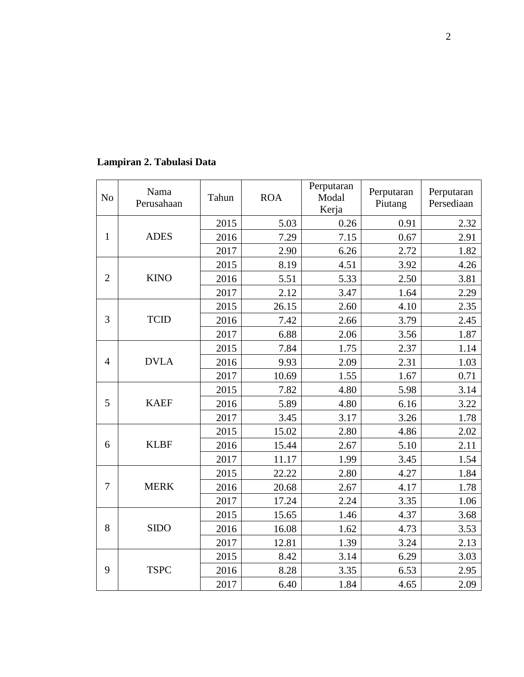| N <sub>o</sub>   | Nama<br>Perusahaan | Tahun | <b>ROA</b> | Perputaran<br>Modal<br>Kerja | Perputaran<br>Piutang | Perputaran<br>Persediaan |
|------------------|--------------------|-------|------------|------------------------------|-----------------------|--------------------------|
|                  |                    | 2015  | 5.03       | 0.26                         | 0.91                  | 2.32                     |
| $\mathbf{1}$     | <b>ADES</b>        | 2016  | 7.29       | 7.15                         | 0.67                  | 2.91                     |
|                  | 2017               | 2.90  | 6.26       | 2.72                         | 1.82                  |                          |
|                  |                    | 2015  | 8.19       | 4.51                         | 3.92                  | 4.26                     |
| $\overline{2}$   | <b>KINO</b>        | 2016  | 5.51       | 5.33                         | 2.50                  | 3.81                     |
|                  |                    | 2017  | 2.12       | 3.47                         | 1.64                  | 2.29                     |
|                  |                    | 2015  | 26.15      | 2.60                         | 4.10                  | 2.35                     |
| 3                | <b>TCID</b>        | 2016  | 7.42       | 2.66                         | 3.79                  | 2.45                     |
|                  |                    | 2017  | 6.88       | 2.06                         | 3.56                  | 1.87                     |
|                  |                    | 2015  | 7.84       | 1.75                         | 2.37                  | 1.14                     |
| $\overline{4}$   | <b>DVLA</b>        | 2016  | 9.93       | 2.09                         | 2.31                  | 1.03                     |
|                  | 2017               | 10.69 | 1.55       | 1.67                         | 0.71                  |                          |
|                  |                    | 2015  | 7.82       | 4.80                         | 5.98                  | 3.14                     |
| 5                | <b>KAEF</b>        | 2016  | 5.89       | 4.80                         | 6.16                  | 3.22                     |
|                  |                    | 2017  | 3.45       | 3.17                         | 3.26                  | 1.78                     |
|                  |                    | 2015  | 15.02      | 2.80                         | 4.86                  | 2.02                     |
| 6                | <b>KLBF</b>        | 2016  | 15.44      | 2.67                         | 5.10                  | 2.11                     |
|                  |                    | 2017  | 11.17      | 1.99                         | 3.45                  | 1.54                     |
|                  |                    | 2015  | 22.22      | 2.80                         | 4.27                  | 1.84                     |
| 7                | <b>MERK</b>        | 2016  | 20.68      | 2.67                         | 4.17                  | 1.78                     |
|                  |                    | 2017  | 17.24      | 2.24                         | 3.35                  | 1.06                     |
|                  |                    | 2015  | 15.65      | 1.46                         | 4.37                  | 3.68                     |
| 8<br><b>SIDO</b> |                    | 2016  | 16.08      | 1.62                         | 4.73                  | 3.53                     |
|                  |                    | 2017  | 12.81      | 1.39                         | 3.24                  | 2.13                     |
|                  |                    | 2015  | 8.42       | 3.14                         | 6.29                  | 3.03                     |
| 9                | <b>TSPC</b>        | 2016  | 8.28       | 3.35                         | 6.53                  | 2.95                     |
|                  |                    | 2017  | 6.40       | 1.84                         | 4.65                  | 2.09                     |

### **Lampiran 2. Tabulasi Data**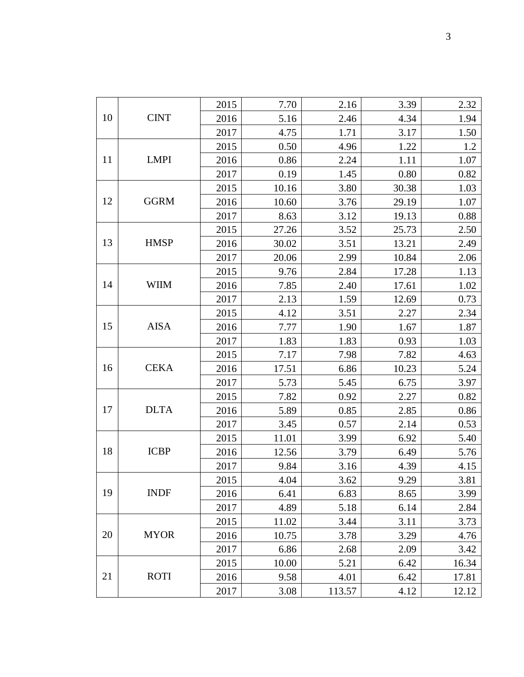|             | 2015 | 7.70  | 2.16   | 3.39  | 2.32  |
|-------------|------|-------|--------|-------|-------|
| <b>CINT</b> | 2016 | 5.16  | 2.46   | 4.34  | 1.94  |
|             | 2017 | 4.75  | 1.71   | 3.17  | 1.50  |
|             | 2015 | 0.50  | 4.96   | 1.22  | 1.2   |
| <b>LMPI</b> | 2016 | 0.86  | 2.24   | 1.11  | 1.07  |
|             | 2017 | 0.19  | 1.45   | 0.80  | 0.82  |
|             | 2015 | 10.16 | 3.80   | 30.38 | 1.03  |
| <b>GGRM</b> | 2016 | 10.60 | 3.76   | 29.19 | 1.07  |
|             | 2017 | 8.63  | 3.12   | 19.13 | 0.88  |
|             | 2015 | 27.26 | 3.52   | 25.73 | 2.50  |
| <b>HMSP</b> | 2016 | 30.02 | 3.51   | 13.21 | 2.49  |
|             | 2017 | 20.06 | 2.99   | 10.84 | 2.06  |
|             | 2015 | 9.76  | 2.84   | 17.28 | 1.13  |
| <b>WIIM</b> | 2016 | 7.85  | 2.40   | 17.61 | 1.02  |
|             | 2017 | 2.13  | 1.59   | 12.69 | 0.73  |
|             | 2015 | 4.12  | 3.51   | 2.27  | 2.34  |
| <b>AISA</b> | 2016 | 7.77  | 1.90   | 1.67  | 1.87  |
|             | 2017 | 1.83  | 1.83   | 0.93  | 1.03  |
|             | 2015 | 7.17  | 7.98   | 7.82  | 4.63  |
| <b>CEKA</b> | 2016 | 17.51 | 6.86   | 10.23 | 5.24  |
|             | 2017 | 5.73  | 5.45   | 6.75  | 3.97  |
|             | 2015 | 7.82  | 0.92   | 2.27  | 0.82  |
| <b>DLTA</b> | 2016 | 5.89  | 0.85   | 2.85  | 0.86  |
|             | 2017 | 3.45  | 0.57   | 2.14  | 0.53  |
|             | 2015 | 11.01 | 3.99   | 6.92  | 5.40  |
| <b>ICBP</b> | 2016 | 12.56 | 3.79   | 6.49  | 5.76  |
|             | 2017 | 9.84  | 3.16   | 4.39  | 4.15  |
|             | 2015 | 4.04  | 3.62   | 9.29  | 3.81  |
| <b>INDF</b> | 2016 | 6.41  | 6.83   | 8.65  | 3.99  |
|             | 2017 | 4.89  | 5.18   | 6.14  | 2.84  |
|             | 2015 | 11.02 | 3.44   | 3.11  | 3.73  |
| <b>MYOR</b> | 2016 | 10.75 | 3.78   | 3.29  | 4.76  |
|             | 2017 | 6.86  | 2.68   | 2.09  | 3.42  |
|             | 2015 | 10.00 | 5.21   | 6.42  | 16.34 |
| <b>ROTI</b> | 2016 | 9.58  | 4.01   | 6.42  | 17.81 |
|             | 2017 | 3.08  | 113.57 | 4.12  | 12.12 |
|             |      |       |        |       |       |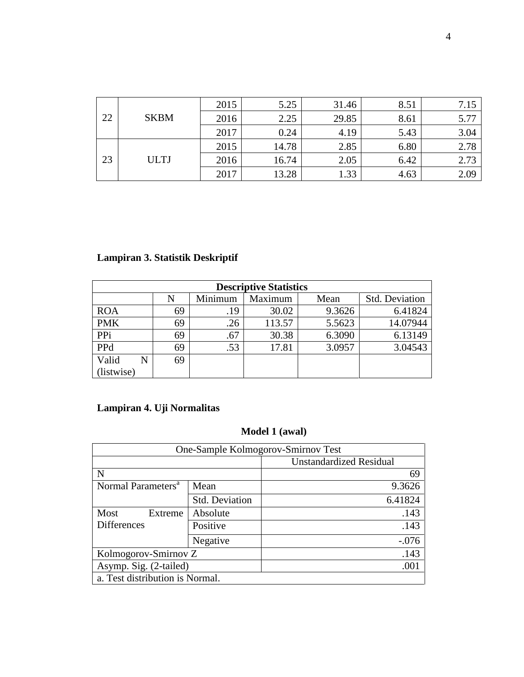| 22<br><b>SKBM</b> |  | 2015 | 5.25  | 31.46 | 8.51 | 7.15 |
|-------------------|--|------|-------|-------|------|------|
|                   |  | 2016 | 2.25  | 29.85 | 8.61 | 5.77 |
|                   |  | 2017 | 0.24  | 4.19  | 5.43 | 3.04 |
| 23<br><b>ULTJ</b> |  | 2015 | 14.78 | 2.85  | 6.80 | 2.78 |
|                   |  | 2016 | 16.74 | 2.05  | 6.42 | 2.73 |
|                   |  | 2017 | 13.28 | 1.33  | 4.63 | 2.09 |

### **Lampiran 3. Statistik Deskriptif**

| <b>Descriptive Statistics</b> |    |         |         |        |                       |  |  |
|-------------------------------|----|---------|---------|--------|-----------------------|--|--|
|                               | N  | Minimum | Maximum | Mean   | <b>Std. Deviation</b> |  |  |
| <b>ROA</b>                    | 69 | .19     | 30.02   | 9.3626 | 6.41824               |  |  |
| <b>PMK</b>                    | 69 | .26     | 113.57  | 5.5623 | 14.07944              |  |  |
| PPi                           | 69 | .67     | 30.38   | 6.3090 | 6.13149               |  |  |
| PPd                           | 69 | .53     | 17.81   | 3.0957 | 3.04543               |  |  |
| Valid<br>N                    | 69 |         |         |        |                       |  |  |
| (listwise)                    |    |         |         |        |                       |  |  |

## **Lampiran 4. Uji Normalitas**

### **Model 1 (awal)**

| One-Sample Kolmogorov-Smirnov Test |                       |                                |  |  |  |
|------------------------------------|-----------------------|--------------------------------|--|--|--|
|                                    |                       | <b>Unstandardized Residual</b> |  |  |  |
| N                                  |                       | 69                             |  |  |  |
| Normal Parameters <sup>a</sup>     | Mean                  | 9.3626                         |  |  |  |
|                                    | <b>Std. Deviation</b> | 6.41824                        |  |  |  |
| Most<br>Extreme                    | Absolute              | .143                           |  |  |  |
| <b>Differences</b>                 | Positive              | .143                           |  |  |  |
|                                    | Negative              | $-.076$                        |  |  |  |
| Kolmogorov-Smirnov Z               |                       | .143                           |  |  |  |
| Asymp. Sig. (2-tailed)             |                       | .001                           |  |  |  |
| a. Test distribution is Normal.    |                       |                                |  |  |  |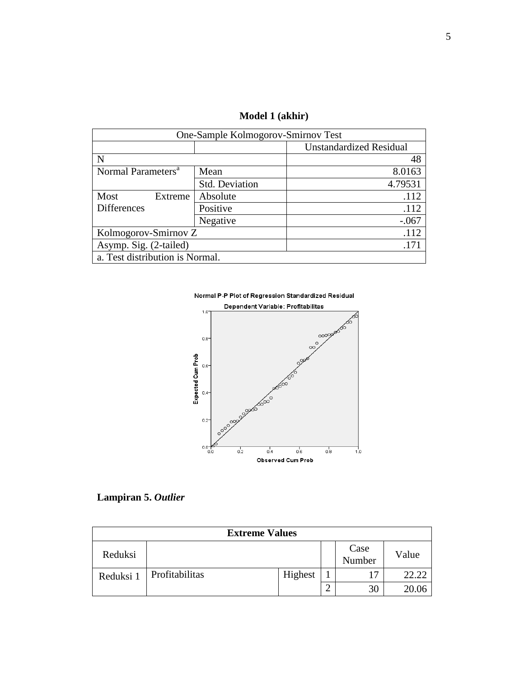**Model 1 (akhir)**

| One-Sample Kolmogorov-Smirnov Test |                                 |                                |  |  |  |
|------------------------------------|---------------------------------|--------------------------------|--|--|--|
|                                    |                                 | <b>Unstandardized Residual</b> |  |  |  |
| N                                  |                                 | 48                             |  |  |  |
| Normal Parameters <sup>a</sup>     | Mean                            | 8.0163                         |  |  |  |
|                                    | Std. Deviation                  | 4.79531                        |  |  |  |
| Most<br>Extreme                    | Absolute                        | .112                           |  |  |  |
| <b>Differences</b>                 | Positive                        | .112                           |  |  |  |
|                                    | Negative                        | $-.067$                        |  |  |  |
| Kolmogorov-Smirnov Z               |                                 | .112                           |  |  |  |
| Asymp. Sig. (2-tailed)             |                                 | .171                           |  |  |  |
|                                    | a. Test distribution is Normal. |                                |  |  |  |

Normal P-P Plot of Regression Standardized Residual





| <b>Extreme Values</b> |                |         |  |                |       |  |
|-----------------------|----------------|---------|--|----------------|-------|--|
| Reduksi               |                |         |  | Case<br>Number | Value |  |
| Reduksi 1             | Profitabilitas | Highest |  | 17             | 22.22 |  |
|                       |                |         |  | 30             | 20.06 |  |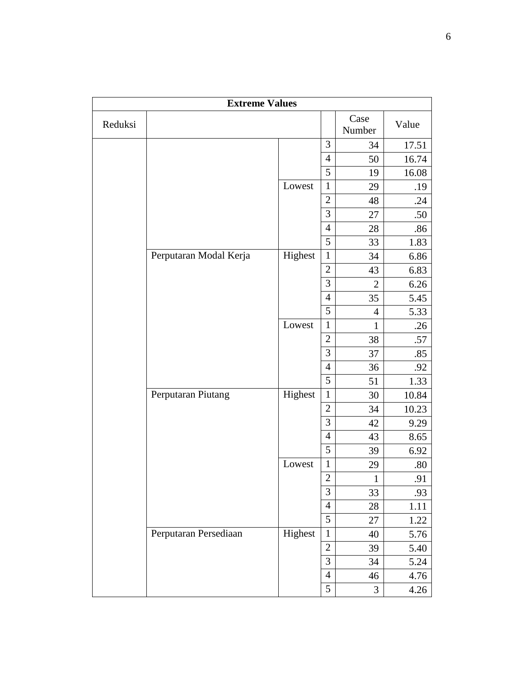|         | <b>Extreme Values</b>  |         |                |                |       |
|---------|------------------------|---------|----------------|----------------|-------|
| Reduksi |                        |         |                | Case<br>Number | Value |
|         |                        |         | 3              | 34             | 17.51 |
|         |                        |         | $\overline{4}$ | 50             | 16.74 |
|         |                        |         | 5              | 19             | 16.08 |
|         |                        | Lowest  | $\mathbf{1}$   | 29             | .19   |
|         |                        |         | $\overline{2}$ | 48             | .24   |
|         |                        |         | 3              | 27             | .50   |
|         |                        |         | $\overline{4}$ | 28             | .86   |
|         |                        |         | 5              | 33             | 1.83  |
|         | Perputaran Modal Kerja | Highest | $\mathbf{1}$   | 34             | 6.86  |
|         |                        |         | $\overline{2}$ | 43             | 6.83  |
|         |                        |         | 3              | $\overline{2}$ | 6.26  |
|         |                        |         | $\overline{4}$ | 35             | 5.45  |
|         |                        |         | 5              | $\overline{4}$ | 5.33  |
|         |                        | Lowest  | $\mathbf{1}$   | $\mathbf{1}$   | .26   |
|         |                        |         | $\overline{2}$ | 38             | .57   |
|         |                        |         | 3              | 37             | .85   |
|         |                        |         | $\overline{4}$ | 36             | .92   |
|         |                        |         | 5              | 51             | 1.33  |
|         | Perputaran Piutang     | Highest | $\mathbf{1}$   | 30             | 10.84 |
|         |                        |         | $\overline{2}$ | 34             | 10.23 |
|         |                        |         | 3              | 42             | 9.29  |
|         |                        |         | $\overline{4}$ | 43             | 8.65  |
|         |                        |         | 5              | 39             | 6.92  |
|         |                        | Lowest  | $\mathbf 1$    | 29             | .80   |
|         |                        |         | $\overline{2}$ | $\mathbf{1}$   | .91   |
|         |                        |         | 3              | 33             | .93   |
|         |                        |         | $\overline{4}$ | 28             | 1.11  |
|         |                        |         | 5              | 27             | 1.22  |
|         | Perputaran Persediaan  | Highest | $\mathbf{1}$   | 40             | 5.76  |
|         |                        |         | $\overline{2}$ | 39             | 5.40  |
|         |                        |         | 3              | 34             | 5.24  |
|         |                        |         | $\overline{4}$ | 46             | 4.76  |
|         |                        |         | $\mathfrak{S}$ | $\mathfrak{Z}$ | 4.26  |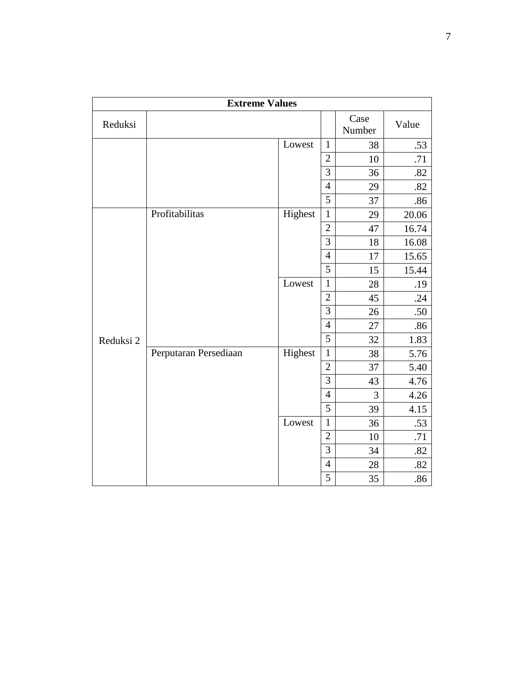|           | <b>Extreme Values</b> |         |                |                |       |
|-----------|-----------------------|---------|----------------|----------------|-------|
| Reduksi   |                       |         |                | Case<br>Number | Value |
|           |                       | Lowest  | $\mathbf{1}$   | 38             | .53   |
|           |                       |         | $\overline{2}$ | 10             | .71   |
|           |                       |         | 3              | 36             | .82   |
|           |                       |         | $\overline{4}$ | 29             | .82   |
|           |                       |         | 5              | 37             | .86   |
|           | Profitabilitas        | Highest | $\mathbf{1}$   | 29             | 20.06 |
|           |                       |         | $\overline{2}$ | 47             | 16.74 |
|           |                       |         | 3              | 18             | 16.08 |
|           |                       |         | $\overline{4}$ | 17             | 15.65 |
|           |                       |         | 5              | 15             | 15.44 |
|           |                       | Lowest  | $\mathbf{1}$   | 28             | .19   |
|           |                       |         | $\overline{2}$ | 45             | .24   |
|           |                       |         | 3              | 26             | .50   |
|           |                       |         | $\overline{4}$ | 27             | .86   |
| Reduksi 2 |                       |         | $\overline{5}$ | 32             | 1.83  |
|           | Perputaran Persediaan | Highest | $\mathbf{1}$   | 38             | 5.76  |
|           |                       |         | $\overline{c}$ | 37             | 5.40  |
|           |                       |         | $\overline{3}$ | 43             | 4.76  |
|           |                       |         | $\overline{4}$ | 3              | 4.26  |
|           |                       |         | 5              | 39             | 4.15  |
|           |                       | Lowest  | $\mathbf{1}$   | 36             | .53   |
|           |                       |         | $\overline{2}$ | 10             | .71   |
|           |                       |         | 3              | 34             | .82   |
|           |                       |         | $\overline{4}$ | 28             | .82   |
|           |                       |         | 5              | 35             | .86   |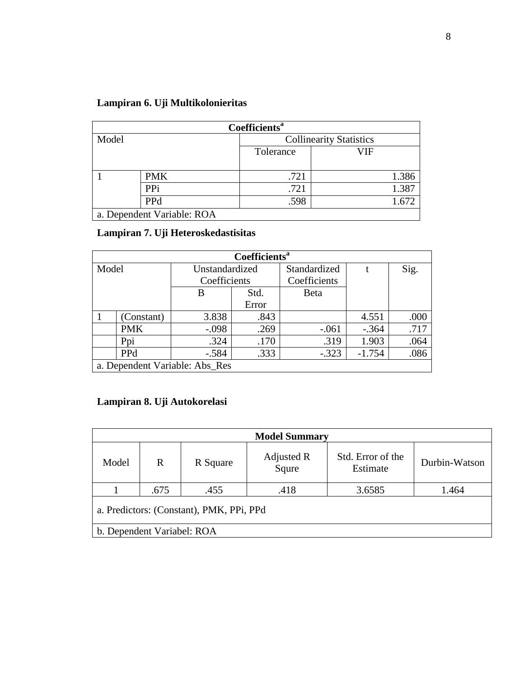|  |  |  | Lampiran 6. Uji Multikolonieritas |
|--|--|--|-----------------------------------|
|--|--|--|-----------------------------------|

| Coefficients <sup>a</sup> |                            |                                |       |  |  |  |
|---------------------------|----------------------------|--------------------------------|-------|--|--|--|
| Model                     |                            | <b>Collinearity Statistics</b> |       |  |  |  |
|                           |                            | Tolerance                      | VIF   |  |  |  |
|                           |                            |                                |       |  |  |  |
|                           | <b>PMK</b>                 | .721                           | 1.386 |  |  |  |
|                           | PPi                        | .721                           | 1.387 |  |  |  |
|                           | <b>PPd</b>                 | .598                           | 1.672 |  |  |  |
|                           | a. Dependent Variable: ROA |                                |       |  |  |  |

## **Lampiran 7. Uji Heteroskedastisitas**

| Coefficients <sup>a</sup>      |            |                |       |              |          |      |
|--------------------------------|------------|----------------|-------|--------------|----------|------|
| Model                          |            | Unstandardized |       | Standardized |          | Sig. |
|                                |            | Coefficients   |       | Coefficients |          |      |
|                                |            | В              | Std.  | Beta         |          |      |
|                                |            |                | Error |              |          |      |
|                                | (Constant) | 3.838          | .843  |              | 4.551    | .000 |
|                                | <b>PMK</b> | $-.098$        | .269  | $-.061$      | $-.364$  | .717 |
|                                | Ppi        | .324           | .170  | .319         | 1.903    | .064 |
|                                | <b>PPd</b> | $-.584$        | .333  | $-.323$      | $-1.754$ | .086 |
| a. Dependent Variable: Abs_Res |            |                |       |              |          |      |

### **Lampiran 8. Uji Autokorelasi**

| <b>Model Summary</b>                     |                                                                       |      |               |        |       |  |
|------------------------------------------|-----------------------------------------------------------------------|------|---------------|--------|-------|--|
| Model                                    | Std. Error of the<br>Adjusted R<br>R<br>R Square<br>Squre<br>Estimate |      | Durbin-Watson |        |       |  |
|                                          | .675                                                                  | .455 | .418          | 3.6585 | 1.464 |  |
| a. Predictors: (Constant), PMK, PPi, PPd |                                                                       |      |               |        |       |  |
| b. Dependent Variabel: ROA               |                                                                       |      |               |        |       |  |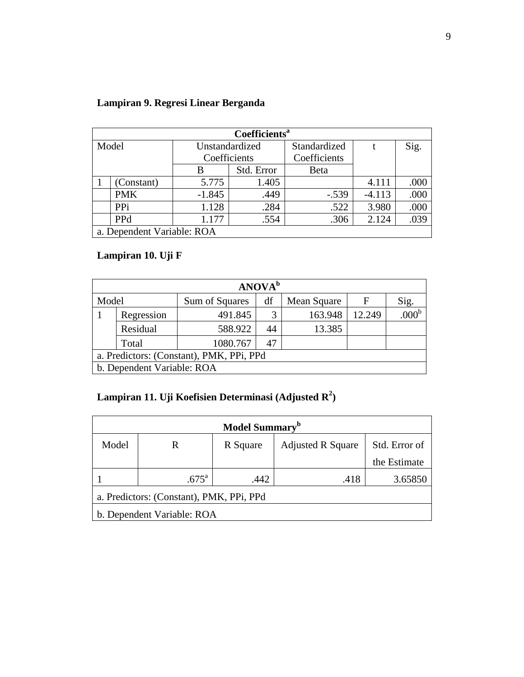| Lampiran 9. Regresi Linear Berganda |  |  |  |
|-------------------------------------|--|--|--|
|-------------------------------------|--|--|--|

| Coefficients <sup>a</sup>  |            |                |            |              |          |      |  |
|----------------------------|------------|----------------|------------|--------------|----------|------|--|
| Model                      |            | Unstandardized |            | Standardized |          | Sig. |  |
|                            |            | Coefficients   |            | Coefficients |          |      |  |
|                            |            | B              | Std. Error | <b>B</b> eta |          |      |  |
|                            | (Constant) | 5.775          | 1.405      |              | 4.111    | .000 |  |
|                            | <b>PMK</b> | $-1.845$       | .449       | $-.539$      | $-4.113$ | .000 |  |
|                            | <b>PPi</b> | 1.128          | .284       | .522         | 3.980    | .000 |  |
|                            | <b>PPd</b> | 1.177          | .554       | .306         | 2.124    | .039 |  |
| a. Dependent Variable: ROA |            |                |            |              |          |      |  |

## **Lampiran 10. Uji F**

| ANOVA <sup>b</sup>                           |            |          |    |         |        |                   |  |
|----------------------------------------------|------------|----------|----|---------|--------|-------------------|--|
| Model<br>df<br>Sum of Squares<br>Mean Square |            |          |    | F       | Sig.   |                   |  |
|                                              | Regression | 491.845  | 3  | 163.948 | 12.249 | .000 <sup>t</sup> |  |
|                                              | Residual   | 588.922  | 44 | 13.385  |        |                   |  |
|                                              | Total      | 1080.767 | 47 |         |        |                   |  |
| a. Predictors: (Constant), PMK, PPi, PPd     |            |          |    |         |        |                   |  |
| b. Dependent Variable: ROA                   |            |          |    |         |        |                   |  |

#### **Lampiran 11. Uji Koefisien Determinasi (Adjusted R<sup>2</sup> )**

| Model Summary <sup>b</sup>               |                |          |                          |               |  |  |  |
|------------------------------------------|----------------|----------|--------------------------|---------------|--|--|--|
| Model                                    | R              | R Square | <b>Adjusted R Square</b> | Std. Error of |  |  |  |
|                                          |                |          |                          | the Estimate  |  |  |  |
|                                          | $.675^{\circ}$ | .442     | .418                     | 3.65850       |  |  |  |
| a. Predictors: (Constant), PMK, PPi, PPd |                |          |                          |               |  |  |  |
| b. Dependent Variable: ROA               |                |          |                          |               |  |  |  |